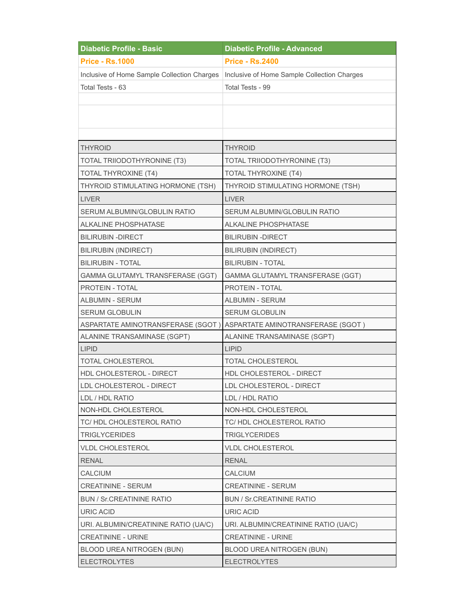| <b>Diabetic Profile - Basic</b>             | <b>Diabetic Profile - Advanced</b>                                    |
|---------------------------------------------|-----------------------------------------------------------------------|
| <b>Price - Rs.1000</b>                      | <b>Price - Rs.2400</b>                                                |
| Inclusive of Home Sample Collection Charges | Inclusive of Home Sample Collection Charges                           |
| Total Tests - 63                            | Total Tests - 99                                                      |
|                                             |                                                                       |
|                                             |                                                                       |
|                                             |                                                                       |
|                                             |                                                                       |
| <b>THYROID</b>                              | <b>THYROID</b>                                                        |
| TOTAL TRIIODOTHYRONINE (T3)                 | TOTAL TRIIODOTHYRONINE (T3)                                           |
| TOTAL THYROXINE (T4)                        | TOTAL THYROXINE (T4)                                                  |
| THYROID STIMULATING HORMONE (TSH)           | THYROID STIMULATING HORMONE (TSH)                                     |
| <b>LIVER</b>                                | <b>LIVER</b>                                                          |
| SERUM ALBUMIN/GLOBULIN RATIO                | SERUM ALBUMIN/GLOBULIN RATIO                                          |
| <b>ALKALINE PHOSPHATASE</b>                 | <b>ALKALINE PHOSPHATASE</b>                                           |
| <b>BILIRUBIN - DIRECT</b>                   | <b>BILIRUBIN - DIRECT</b>                                             |
| <b>BILIRUBIN (INDIRECT)</b>                 | <b>BILIRUBIN (INDIRECT)</b>                                           |
| <b>BILIRUBIN - TOTAL</b>                    | <b>BILIRUBIN - TOTAL</b>                                              |
| GAMMA GLUTAMYL TRANSFERASE (GGT)            | GAMMA GLUTAMYL TRANSFERASE (GGT)                                      |
| PROTEIN - TOTAL                             | PROTEIN - TOTAL                                                       |
| ALBUMIN - SERUM                             | ALBUMIN - SERUM                                                       |
| <b>SERUM GLOBULIN</b>                       | <b>SERUM GLOBULIN</b>                                                 |
|                                             | ASPARTATE AMINOTRANSFERASE (SGOT ) ASPARTATE AMINOTRANSFERASE (SGOT ) |
| ALANINE TRANSAMINASE (SGPT)                 | ALANINE TRANSAMINASE (SGPT)                                           |
| <b>LIPID</b>                                | <b>LIPID</b>                                                          |
| TOTAL CHOLESTEROL                           | <b>TOTAL CHOLESTEROL</b>                                              |
| HDL CHOLESTEROL - DIRECT                    | <b>HDL CHOLESTEROL - DIRECT</b>                                       |
| LDL CHOLESTEROL - DIRECT                    | LDL CHOLESTEROL - DIRECT                                              |
| LDL / HDL RATIO                             | LDL / HDL RATIO                                                       |
| NON-HDL CHOLESTEROL                         | NON-HDL CHOLESTEROL                                                   |
| TC/HDL CHOLESTEROL RATIO                    | TC/HDL CHOLESTEROL RATIO                                              |
| <b>TRIGLYCERIDES</b>                        | <b>TRIGLYCERIDES</b>                                                  |
| <b>VLDL CHOLESTEROL</b>                     | <b>VLDL CHOLESTEROL</b>                                               |
| <b>RENAL</b>                                | <b>RENAL</b>                                                          |
| CALCIUM                                     | CALCIUM                                                               |
| <b>CREATININE - SERUM</b>                   | <b>CREATININE - SERUM</b>                                             |
| <b>BUN / Sr.CREATININE RATIO</b>            | <b>BUN / Sr.CREATININE RATIO</b>                                      |
| URIC ACID                                   | URIC ACID                                                             |
| URI. ALBUMIN/CREATININE RATIO (UA/C)        | URI. ALBUMIN/CREATININE RATIO (UA/C)                                  |
| <b>CREATININE - URINE</b>                   | <b>CREATININE - URINE</b>                                             |
| BLOOD UREA NITROGEN (BUN)                   | BLOOD UREA NITROGEN (BUN)                                             |
| <b>ELECTROLYTES</b>                         | <b>ELECTROLYTES</b>                                                   |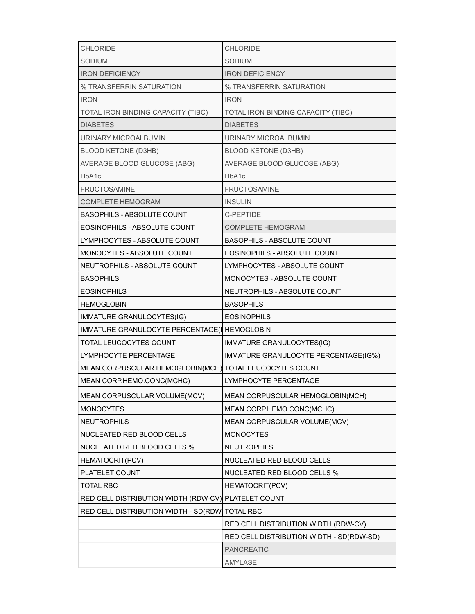| <b>CHLORIDE</b>                                         | <b>CHLORIDE</b>                          |
|---------------------------------------------------------|------------------------------------------|
| <b>SODIUM</b>                                           | <b>SODIUM</b>                            |
| <b>IRON DEFICIENCY</b>                                  | <b>IRON DEFICIENCY</b>                   |
| % TRANSFERRIN SATURATION                                | % TRANSFERRIN SATURATION                 |
| <b>IRON</b>                                             | <b>IRON</b>                              |
| TOTAL IRON BINDING CAPACITY (TIBC)                      | TOTAL IRON BINDING CAPACITY (TIBC)       |
| <b>DIABETES</b>                                         | <b>DIABETES</b>                          |
| URINARY MICROALBUMIN                                    | URINARY MICROALBUMIN                     |
| BLOOD KETONE (D3HB)                                     | <b>BLOOD KETONE (D3HB)</b>               |
| AVERAGE BLOOD GLUCOSE (ABG)                             | AVERAGE BLOOD GLUCOSE (ABG)              |
| HbA1c                                                   | HbA1c                                    |
| <b>FRUCTOSAMINE</b>                                     | <b>FRUCTOSAMINE</b>                      |
| COMPLETE HEMOGRAM                                       | <b>INSULIN</b>                           |
| <b>BASOPHILS - ABSOLUTE COUNT</b>                       | C-PEPTIDE                                |
| EOSINOPHILS - ABSOLUTE COUNT                            | <b>COMPLETE HEMOGRAM</b>                 |
| LYMPHOCYTES - ABSOLUTE COUNT                            | BASOPHILS - ABSOLUTE COUNT               |
| MONOCYTES - ABSOLUTE COUNT                              | EOSINOPHILS - ABSOLUTE COUNT             |
| NEUTROPHILS - ABSOLUTE COUNT                            | LYMPHOCYTES - ABSOLUTE COUNT             |
| <b>BASOPHILS</b>                                        | MONOCYTES - ABSOLUTE COUNT               |
| <b>EOSINOPHILS</b>                                      | NEUTROPHILS - ABSOLUTE COUNT             |
| <b>HEMOGLOBIN</b>                                       | <b>BASOPHILS</b>                         |
| IMMATURE GRANULOCYTES(IG)                               | <b>EOSINOPHILS</b>                       |
| IMMATURE GRANULOCYTE PERCENTAGE(I HEMOGLOBIN            |                                          |
| TOTAL LEUCOCYTES COUNT                                  | IMMATURE GRANULOCYTES(IG)                |
| LYMPHOCYTE PERCENTAGE                                   | IMMATURE GRANULOCYTE PERCENTAGE(IG%)     |
| MEAN CORPUSCULAR HEMOGLOBIN(MCH) TOTAL LEUCOCYTES COUNT |                                          |
| MEAN CORP.HEMO.CONC(MCHC)                               | LYMPHOCYTE PERCENTAGE                    |
| MEAN CORPUSCULAR VOLUME(MCV)                            | MEAN CORPUSCULAR HEMOGLOBIN(MCH)         |
| <b>MONOCYTES</b>                                        | MEAN CORP.HEMO.CONC(MCHC)                |
| <b>NEUTROPHILS</b>                                      | MEAN CORPUSCULAR VOLUME(MCV)             |
| NUCLEATED RED BLOOD CELLS                               | <b>MONOCYTES</b>                         |
| NUCLEATED RED BLOOD CELLS %                             | <b>NEUTROPHILS</b>                       |
| HEMATOCRIT(PCV)                                         | NUCLEATED RED BLOOD CELLS                |
| PLATELET COUNT                                          | <b>NUCLEATED RED BLOOD CELLS %</b>       |
| <b>TOTAL RBC</b>                                        | <b>HEMATOCRIT(PCV)</b>                   |
| RED CELL DISTRIBUTION WIDTH (RDW-CV) PLATELET COUNT     |                                          |
| RED CELL DISTRIBUTION WIDTH - SD(RDW TOTAL RBC          |                                          |
|                                                         | RED CELL DISTRIBUTION WIDTH (RDW-CV)     |
|                                                         | RED CELL DISTRIBUTION WIDTH - SD(RDW-SD) |
|                                                         | <b>PANCREATIC</b>                        |
|                                                         | AMYLASE                                  |